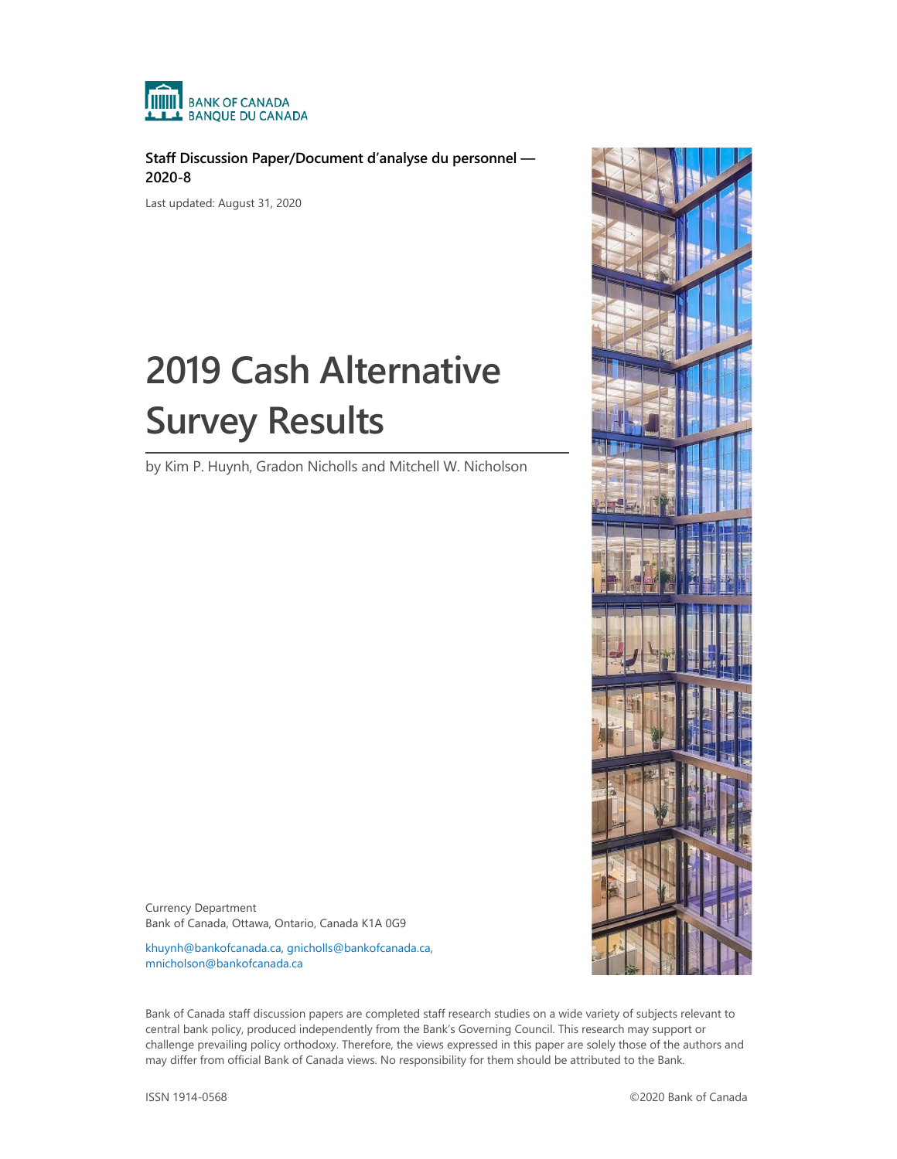

**Staff Discussion Paper/Document d'analyse du personnel — 2020-8**

Last updated: August 31, 2020

# **2019 Cash Alternative Survey Results**

by Kim P. Huynh, Gradon Nicholls and Mitchell W. Nicholson



Currency Department Bank of Canada, Ottawa, Ontario, Canada K1A 0G9

[khuynh@bankofcanada.ca,](mailto:khuynh@bankofcanada.ca) [gnicholls@bankofcanada.ca,](mailto:gnicholls@bankofcanada.ca)  [mnicholson@bankofcanada.ca](mailto:mnicholson@bankofcanada.ca)

Bank of Canada staff discussion papers are completed staff research studies on a wide variety of subjects relevant to central bank policy, produced independently from the Bank's Governing Council. This research may support or challenge prevailing policy orthodoxy. Therefore, the views expressed in this paper are solely those of the authors and may differ from official Bank of Canada views. No responsibility for them should be attributed to the Bank.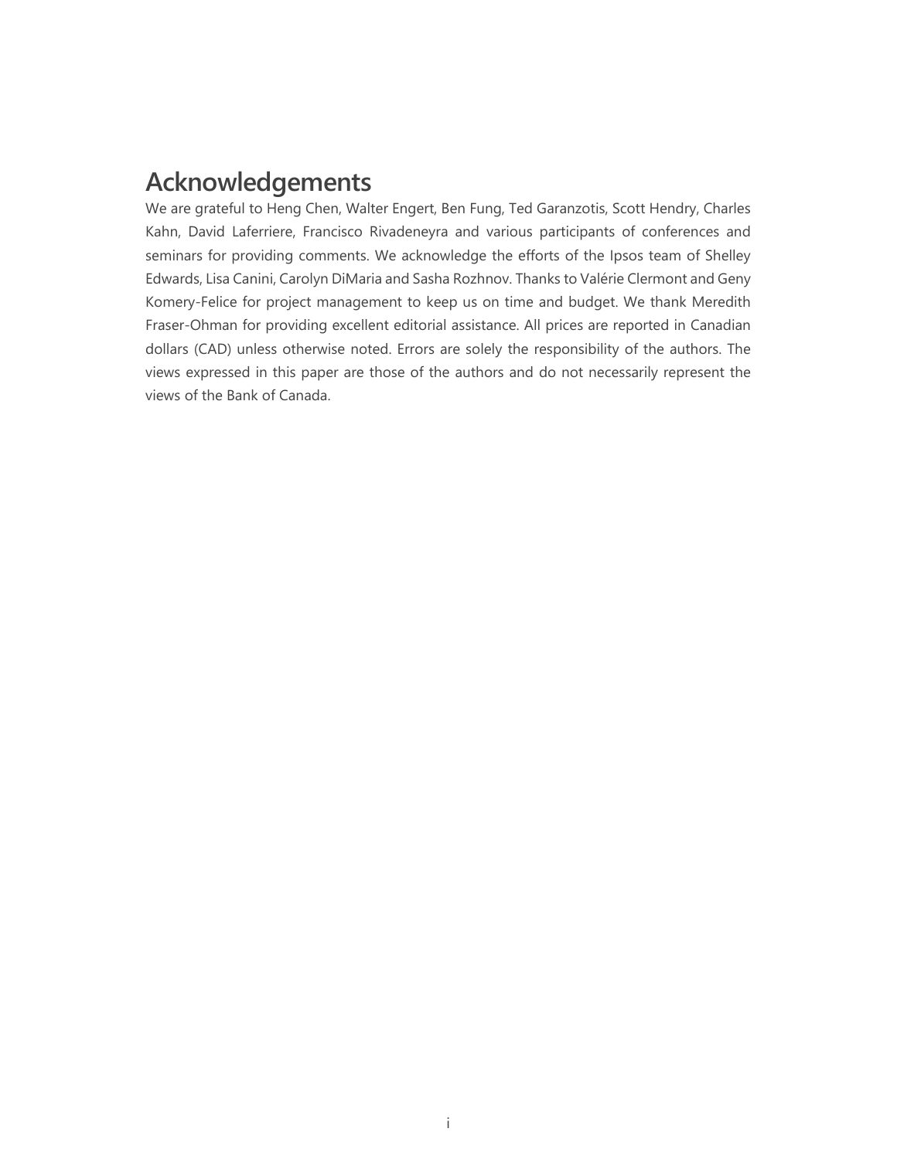## **Acknowledgements**

We are grateful to Heng Chen, Walter Engert, Ben Fung, Ted Garanzotis, Scott Hendry, Charles Kahn, David Laferriere, Francisco Rivadeneyra and various participants of conferences and seminars for providing comments. We acknowledge the efforts of the Ipsos team of Shelley Edwards, Lisa Canini, Carolyn DiMaria and Sasha Rozhnov. Thanks to Valérie Clermont and Geny Komery-Felice for project management to keep us on time and budget. We thank Meredith Fraser-Ohman for providing excellent editorial assistance. All prices are reported in Canadian dollars (CAD) unless otherwise noted. Errors are solely the responsibility of the authors. The views expressed in this paper are those of the authors and do not necessarily represent the views of the Bank of Canada.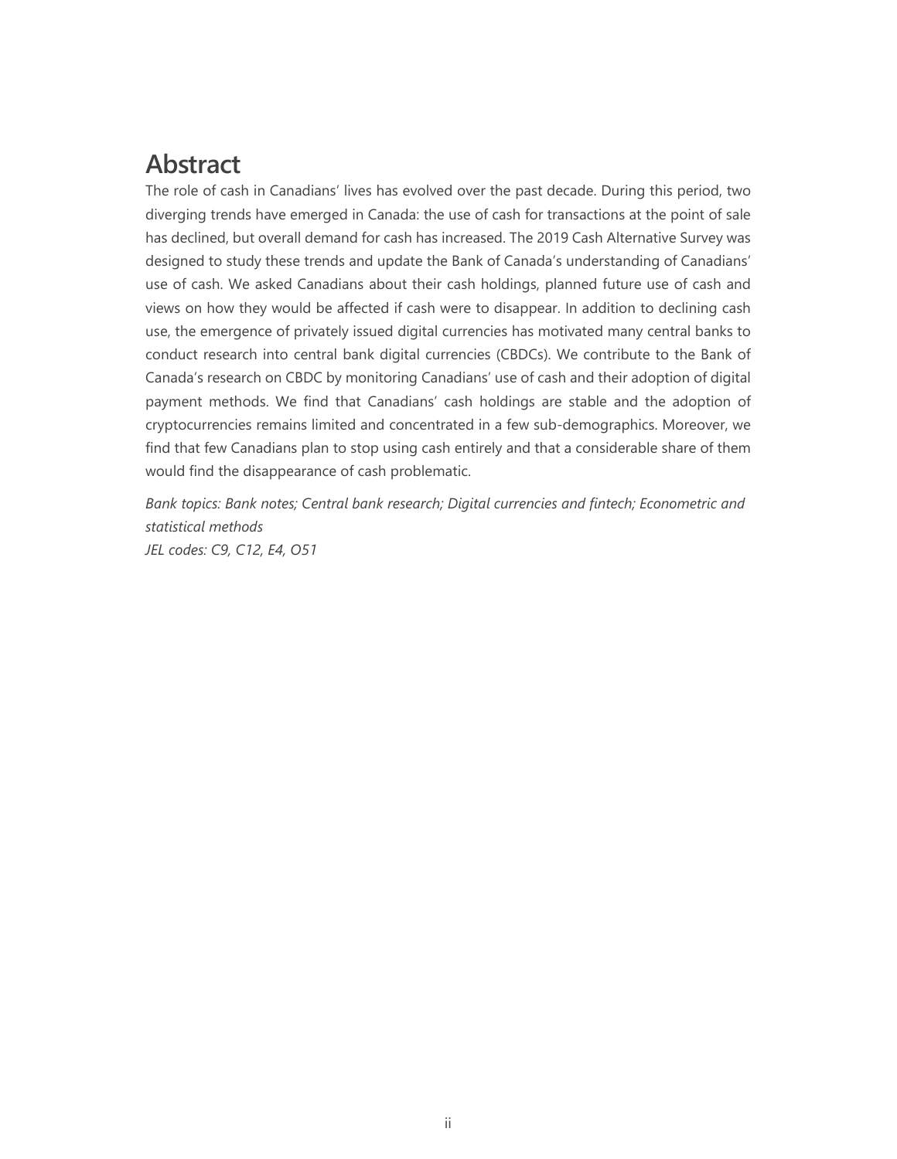## **Abstract**

The role of cash in Canadians' lives has evolved over the past decade. During this period, two diverging trends have emerged in Canada: the use of cash for transactions at the point of sale has declined, but overall demand for cash has increased. The 2019 Cash Alternative Survey was designed to study these trends and update the Bank of Canada's understanding of Canadians' use of cash. We asked Canadians about their cash holdings, planned future use of cash and views on how they would be affected if cash were to disappear. In addition to declining cash use, the emergence of privately issued digital currencies has motivated many central banks to conduct research into central bank digital currencies (CBDCs). We contribute to the Bank of Canada's research on CBDC by monitoring Canadians' use of cash and their adoption of digital payment methods. We find that Canadians' cash holdings are stable and the adoption of cryptocurrencies remains limited and concentrated in a few sub-demographics. Moreover, we find that few Canadians plan to stop using cash entirely and that a considerable share of them would find the disappearance of cash problematic.

*Bank topics: Bank notes; Central bank research; Digital currencies and fintech; Econometric and statistical methods JEL codes: C9, C12, E4, O51*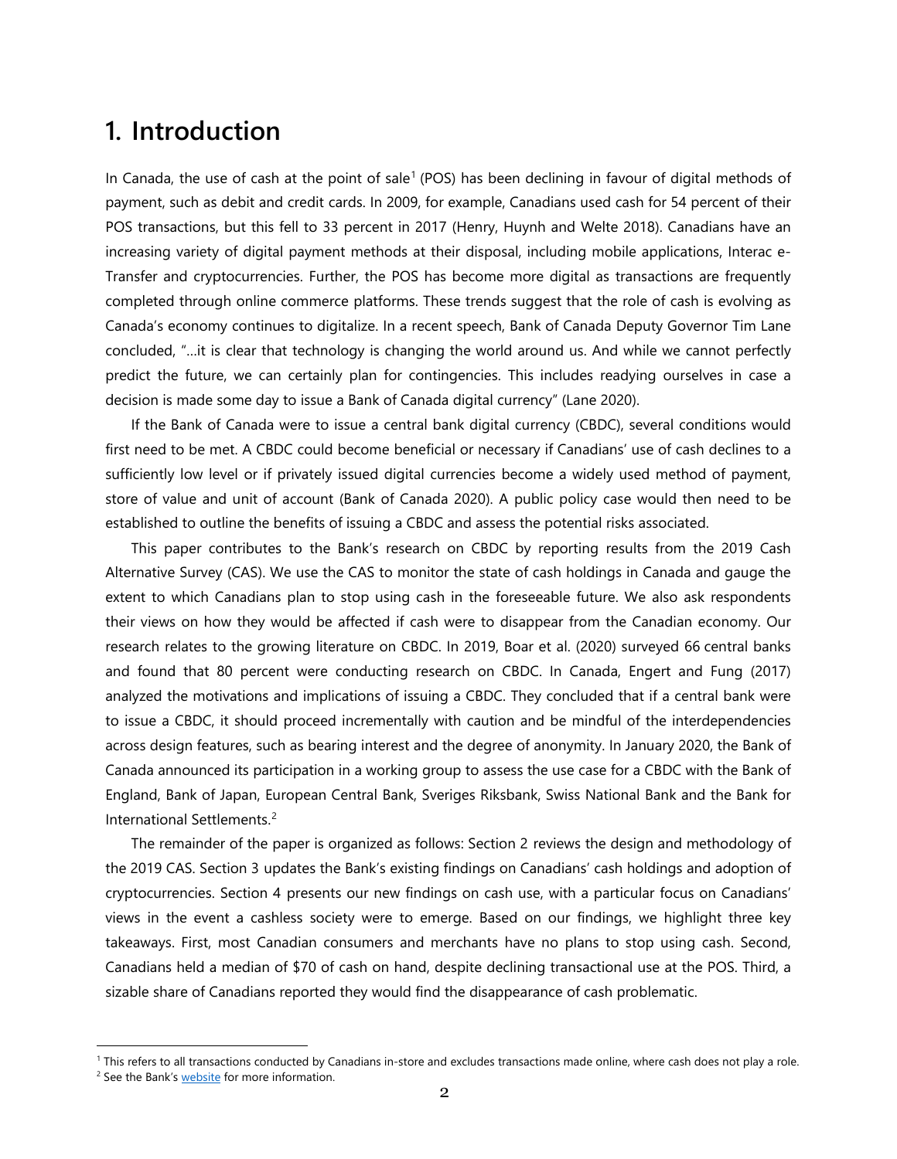#### **1. Introduction**

In Canada, the use of cash at the point of sale<sup>[1](#page-3-0)</sup> (POS) has been declining in favour of digital methods of payment, such as debit and credit cards. In 2009, for example, Canadians used cash for 54 percent of their POS transactions, but this fell to 33 percent in 2017 (Henry, Huynh and Welte 2018). Canadians have an increasing variety of digital payment methods at their disposal, including mobile applications, Interac e-Transfer and cryptocurrencies. Further, the POS has become more digital as transactions are frequently completed through online commerce platforms. These trends suggest that the role of cash is evolving as Canada's economy continues to digitalize. In a recent speech, Bank of Canada Deputy Governor Tim Lane concluded, "…it is clear that technology is changing the world around us. And while we cannot perfectly predict the future, we can certainly plan for contingencies. This includes readying ourselves in case a decision is made some day to issue a Bank of Canada digital currency" (Lane 2020).

If the Bank of Canada were to issue a central bank digital currency (CBDC), several conditions would first need to be met. A CBDC could become beneficial or necessary if Canadians' use of cash declines to a sufficiently low level or if privately issued digital currencies become a widely used method of payment, store of value and unit of account (Bank of Canada 2020). A public policy case would then need to be established to outline the benefits of issuing a CBDC and assess the potential risks associated.

This paper contributes to the Bank's research on CBDC by reporting results from the 2019 Cash Alternative Survey (CAS). We use the CAS to monitor the state of cash holdings in Canada and gauge the extent to which Canadians plan to stop using cash in the foreseeable future. We also ask respondents their views on how they would be affected if cash were to disappear from the Canadian economy. Our research relates to the growing literature on CBDC. In 2019, Boar et al. (2020) surveyed 66 central banks and found that 80 percent were conducting research on CBDC. In Canada, Engert and Fung (2017) analyzed the motivations and implications of issuing a CBDC. They concluded that if a central bank were to issue a CBDC, it should proceed incrementally with caution and be mindful of the interdependencies across design features, such as bearing interest and the degree of anonymity. In January 2020, the Bank of Canada announced its participation in a working group to assess the use case for a CBDC with the Bank of England, Bank of Japan, European Central Bank, Sveriges Riksbank, Swiss National Bank and the Bank for International Settlements.[2](#page-3-1)

The remainder of the paper is organized as follows: Section 2 reviews the design and methodology of the 2019 CAS. Section 3 updates the Bank's existing findings on Canadians' cash holdings and adoption of cryptocurrencies. Section 4 presents our new findings on cash use, with a particular focus on Canadians' views in the event a cashless society were to emerge. Based on our findings, we highlight three key takeaways. First, most Canadian consumers and merchants have no plans to stop using cash. Second, Canadians held a median of \$70 of cash on hand, despite declining transactional use at the POS. Third, a sizable share of Canadians reported they would find the disappearance of cash problematic.

<span id="page-3-0"></span><sup>&</sup>lt;sup>1</sup> This refers to all transactions conducted by Canadians in-store and excludes transactions made online, where cash does not play a role.

<span id="page-3-1"></span><sup>&</sup>lt;sup>2</sup> See the Bank's [website](https://www.bankofcanada.ca/2020/01/central-bank-working-group-cbdc/) for more information.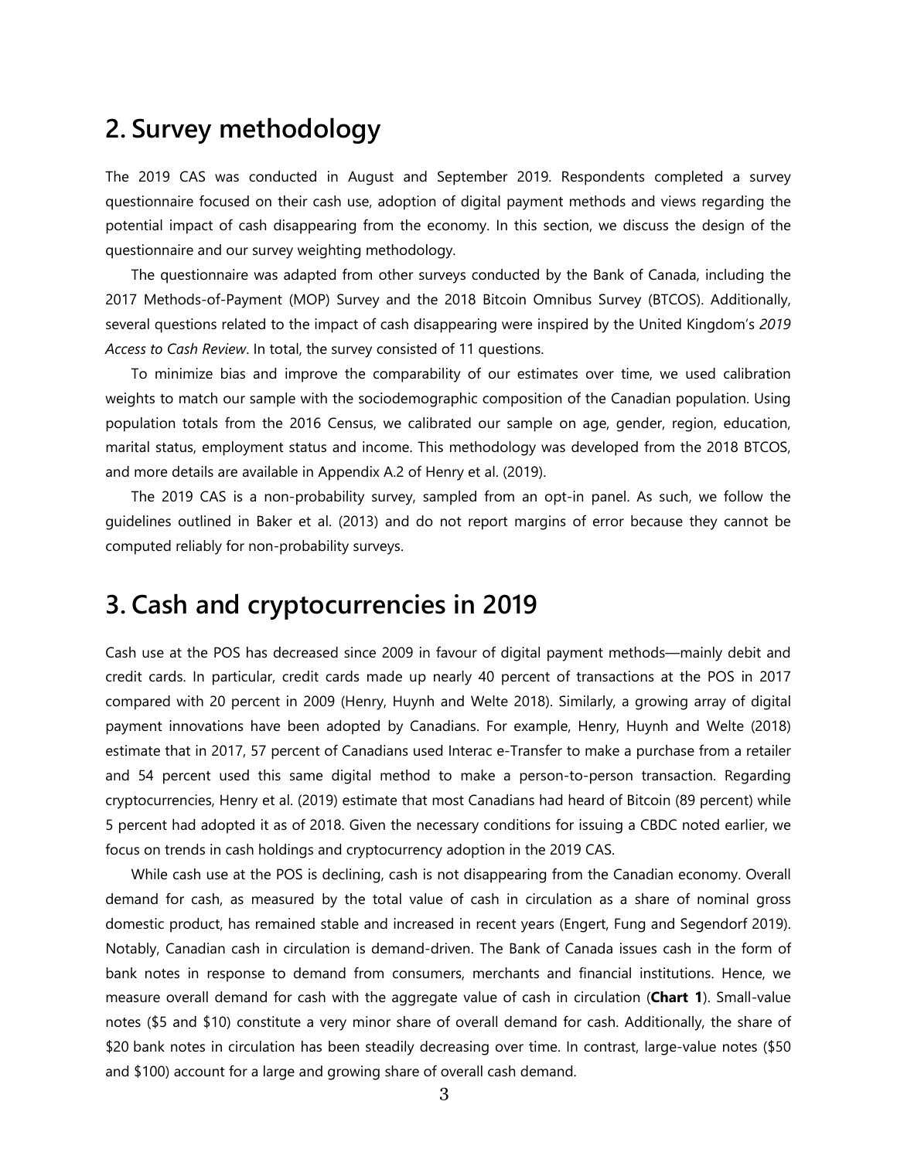#### **2. Survey methodology**

The 2019 CAS was conducted in August and September 2019. Respondents completed a survey questionnaire focused on their cash use, adoption of digital payment methods and views regarding the potential impact of cash disappearing from the economy. In this section, we discuss the design of the questionnaire and our survey weighting methodology.

The questionnaire was adapted from other surveys conducted by the Bank of Canada, including the 2017 Methods-of-Payment (MOP) Survey and the 2018 Bitcoin Omnibus Survey (BTCOS). Additionally, several questions related to the impact of cash disappearing were inspired by the United Kingdom's *[2019](https://www.accesstocash.org.uk/media/1087/final-report-final-web.pdf)  [Access to Cash Review](https://www.accesstocash.org.uk/media/1087/final-report-final-web.pdf)*. In total, the survey consisted of 11 questions.

To minimize bias and improve the comparability of our estimates over time, we used calibration weights to match our sample with the sociodemographic composition of the Canadian population. Using population totals from the 2016 Census, we calibrated our sample on age, gender, region, education, marital status, employment status and income. This methodology was developed from the 2018 BTCOS, and more details are available in Appendix A.2 of Henry et al. (2019).

The 2019 CAS is a non-probability survey, sampled from an opt-in panel. As such, we follow the guidelines outlined in Baker et al. (2013) and do not report margins of error because they cannot be computed reliably for non-probability surveys.

## **3. Cash and cryptocurrencies in 2019**

Cash use at the POS has decreased since 2009 in favour of digital payment methods—mainly debit and credit cards. In particular, credit cards made up nearly 40 percent of transactions at the POS in 2017 compared with 20 percent in 2009 (Henry, Huynh and Welte 2018). Similarly, a growing array of digital payment innovations have been adopted by Canadians. For example, Henry, Huynh and Welte (2018) estimate that in 2017, 57 percent of Canadians used Interac e-Transfer to make a purchase from a retailer and 54 percent used this same digital method to make a person-to-person transaction. Regarding cryptocurrencies, Henry et al. (2019) estimate that most Canadians had heard of Bitcoin (89 percent) while 5 percent had adopted it as of 2018. Given the necessary conditions for issuing a CBDC noted earlier, we focus on trends in cash holdings and cryptocurrency adoption in the 2019 CAS.

While cash use at the POS is declining, cash is not disappearing from the Canadian economy. Overall demand for cash, as measured by the total value of cash in circulation as a share of nominal gross domestic product, has remained stable and increased in recent years (Engert, Fung and Segendorf 2019). Notably, Canadian cash in circulation is demand-driven. The Bank of Canada issues cash in the form of bank notes in response to demand from consumers, merchants and financial institutions. Hence, we measure overall demand for cash with the aggregate value of cash in circulation (**Chart 1**). Small-value notes (\$5 and \$10) constitute a very minor share of overall demand for cash. Additionally, the share of \$20 bank notes in circulation has been steadily decreasing over time. In contrast, large-value notes (\$50 and \$100) account for a large and growing share of overall cash demand.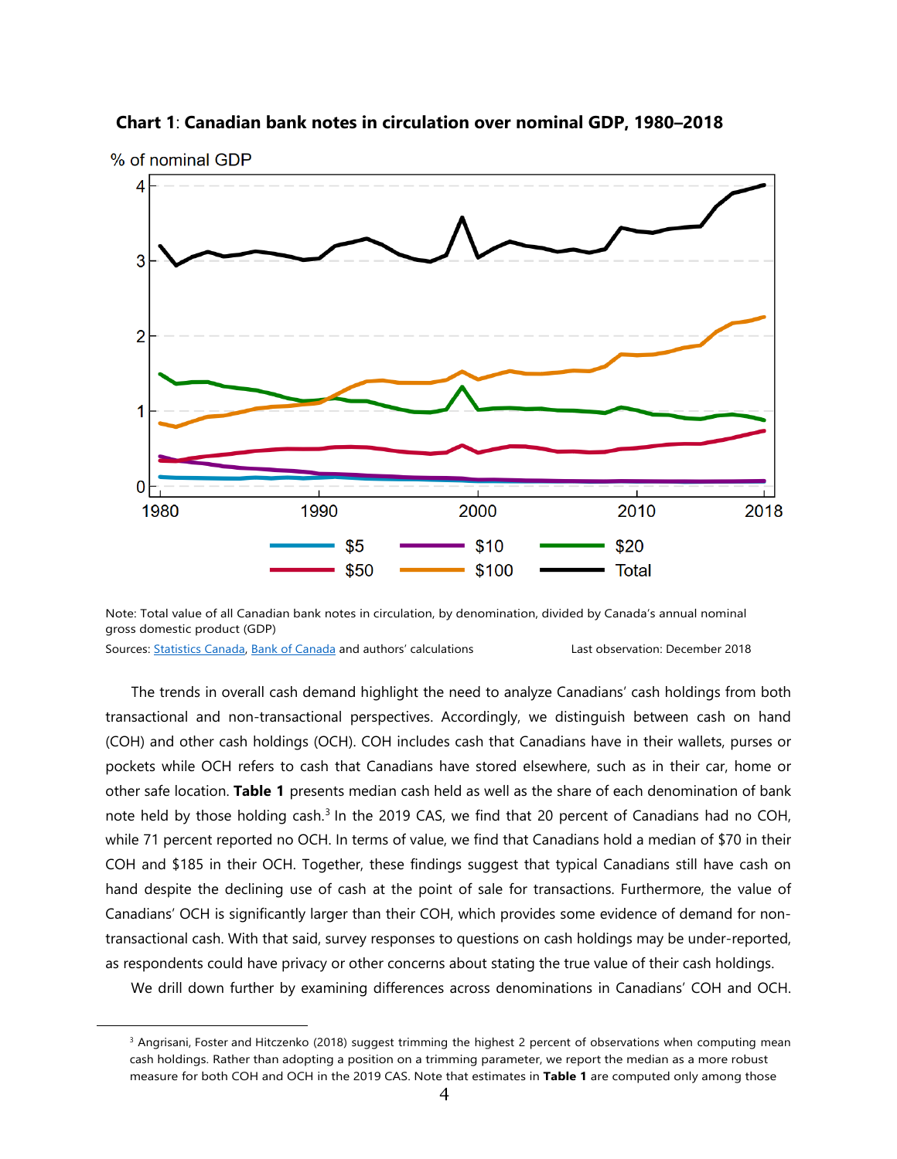

**Chart 1**: **Canadian bank notes in circulation over nominal GDP, 1980–2018**

Note: Total value of all Canadian bank notes in circulation, by denomination, divided by Canada's annual nominal gross domestic product (GDP)

Sources: [Statistics Canada,](https://www150.statcan.gc.ca/t1/tbl1/en/tv.action?pid=3610010401) [Bank of Canada](https://www.bankofcanada.ca/rates/banking-and-financial-statistics/bank-of-canada-note-liabilities-formerly-k1/) and authors' calculations Last observation: December 2018

<span id="page-5-0"></span>1

The trends in overall cash demand highlight the need to analyze Canadians' cash holdings from both transactional and non-transactional perspectives. Accordingly, we distinguish between cash on hand (COH) and other cash holdings (OCH). COH includes cash that Canadians have in their wallets, purses or pockets while OCH refers to cash that Canadians have stored elsewhere, such as in their car, home or other safe location. **Table 1** presents median cash held as well as the share of each denomination of bank note held by those holding cash.<sup>[3](#page-5-0)</sup> In the 2019 CAS, we find that 20 percent of Canadians had no COH, while 71 percent reported no OCH. In terms of value, we find that Canadians hold a median of \$70 in their COH and \$185 in their OCH. Together, these findings suggest that typical Canadians still have cash on hand despite the declining use of cash at the point of sale for transactions. Furthermore, the value of Canadians' OCH is significantly larger than their COH, which provides some evidence of demand for nontransactional cash. With that said, survey responses to questions on cash holdings may be under-reported, as respondents could have privacy or other concerns about stating the true value of their cash holdings.

We drill down further by examining differences across denominations in Canadians' COH and OCH.

<sup>&</sup>lt;sup>3</sup> Angrisani, Foster and Hitczenko (2018) suggest trimming the highest 2 percent of observations when computing mean cash holdings. Rather than adopting a position on a trimming parameter, we report the median as a more robust measure for both COH and OCH in the 2019 CAS. Note that estimates in **Table 1** are computed only among those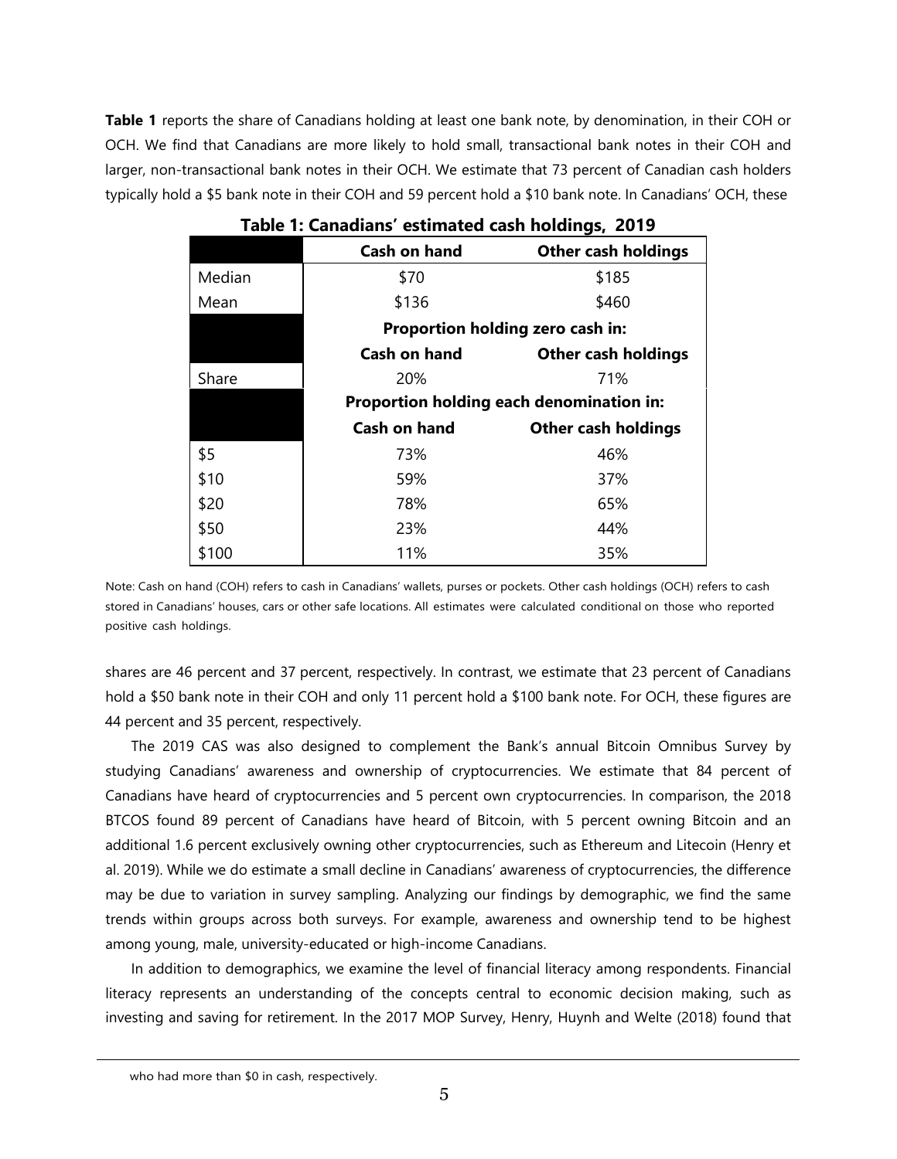**Table 1** reports the share of Canadians holding at least one bank note, by denomination, in their COH or OCH. We find that Canadians are more likely to hold small, transactional bank notes in their COH and larger, non-transactional bank notes in their OCH. We estimate that 73 percent of Canadian cash holders typically hold a \$5 bank note in their COH and 59 percent hold a \$10 bank note. In Canadians' OCH, these

| $\sim$ |                                          |                            |  |  |  |  |
|--------|------------------------------------------|----------------------------|--|--|--|--|
|        | <b>Cash on hand</b>                      | <b>Other cash holdings</b> |  |  |  |  |
| Median | \$70                                     | \$185                      |  |  |  |  |
| Mean   | \$136                                    | \$460                      |  |  |  |  |
|        | Proportion holding zero cash in:         |                            |  |  |  |  |
|        | <b>Cash on hand</b>                      | <b>Other cash holdings</b> |  |  |  |  |
| Share  | 20%                                      | 71%                        |  |  |  |  |
|        | Proportion holding each denomination in: |                            |  |  |  |  |
|        | <b>Cash on hand</b>                      | <b>Other cash holdings</b> |  |  |  |  |
| \$5    | 73%                                      | 46%                        |  |  |  |  |
| \$10   | 59%                                      | 37%                        |  |  |  |  |
| \$20   | 78%                                      | 65%                        |  |  |  |  |
| \$50   | 23%                                      | 44%                        |  |  |  |  |
| \$100  | 11%                                      | 35%                        |  |  |  |  |

**Table 1: Canadians' estimated cash holdings, 2019**

Note: Cash on hand (COH) refers to cash in Canadians' wallets, purses or pockets. Other cash holdings (OCH) refers to cash stored in Canadians' houses, cars or other safe locations. All estimates were calculated conditional on those who reported positive cash holdings.

shares are 46 percent and 37 percent, respectively. In contrast, we estimate that 23 percent of Canadians hold a \$50 bank note in their COH and only 11 percent hold a \$100 bank note. For OCH, these figures are 44 percent and 35 percent, respectively.

The 2019 CAS was also designed to complement the Bank's annual Bitcoin Omnibus Survey by studying Canadians' awareness and ownership of cryptocurrencies. We estimate that 84 percent of Canadians have heard of cryptocurrencies and 5 percent own cryptocurrencies. In comparison, the 2018 BTCOS found 89 percent of Canadians have heard of Bitcoin, with 5 percent owning Bitcoin and an additional 1.6 percent exclusively owning other cryptocurrencies, such as Ethereum and Litecoin (Henry et al. 2019). While we do estimate a small decline in Canadians' awareness of cryptocurrencies, the difference may be due to variation in survey sampling. Analyzing our findings by demographic, we find the same trends within groups across both surveys. For example, awareness and ownership tend to be highest among young, male, university-educated or high-income Canadians.

In addition to demographics, we examine the level of financial literacy among respondents. Financial literacy represents an understanding of the concepts central to economic decision making, such as investing and saving for retirement. In the 2017 MOP Survey, Henry, Huynh and Welte (2018) found that

who had more than \$0 in cash, respectively.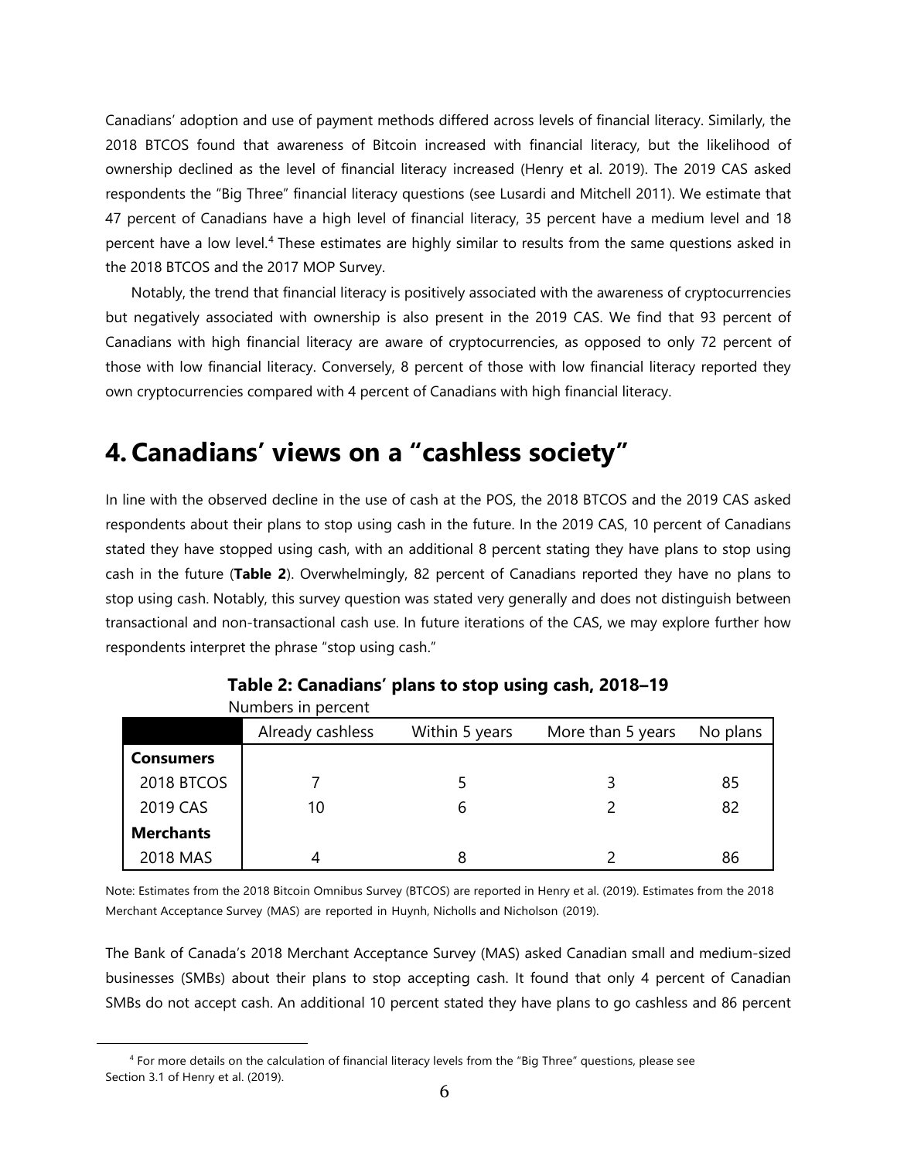Canadians' adoption and use of payment methods differed across levels of financial literacy. Similarly, the 2018 BTCOS found that awareness of Bitcoin increased with financial literacy, but the likelihood of ownership declined as the level of financial literacy increased (Henry et al. 2019). The 2019 CAS asked respondents the "Big Three" financial literacy questions (see Lusardi and Mitchell 2011). We estimate that 47 percent of Canadians have a high level of financial literacy, 35 percent have a medium level and 18 percent have a low level.<sup>[4](#page-7-0)</sup> These estimates are highly similar to results from the same questions asked in the 2018 BTCOS and the 2017 MOP Survey.

Notably, the trend that financial literacy is positively associated with the awareness of cryptocurrencies but negatively associated with ownership is also present in the 2019 CAS. We find that 93 percent of Canadians with high financial literacy are aware of cryptocurrencies, as opposed to only 72 percent of those with low financial literacy. Conversely, 8 percent of those with low financial literacy reported they own cryptocurrencies compared with 4 percent of Canadians with high financial literacy.

## **4.Canadians' views on a "cashless society"**

In line with the observed decline in the use of cash at the POS, the 2018 BTCOS and the 2019 CAS asked respondents about their plans to stop using cash in the future. In the 2019 CAS, 10 percent of Canadians stated they have stopped using cash, with an additional 8 percent stating they have plans to stop using cash in the future (**Table 2**). Overwhelmingly, 82 percent of Canadians reported they have no plans to stop using cash. Notably, this survey question was stated very generally and does not distinguish between transactional and non-transactional cash use. In future iterations of the CAS, we may explore further how respondents interpret the phrase "stop using cash."

|                  | Numbers in percent |                |                   |          |  |  |
|------------------|--------------------|----------------|-------------------|----------|--|--|
|                  | Already cashless   | Within 5 years | More than 5 years | No plans |  |  |
| <b>Consumers</b> |                    |                |                   |          |  |  |
| 2018 BTCOS       |                    |                | ₹                 | 85       |  |  |
| 2019 CAS         | 10                 |                |                   | 82       |  |  |
| <b>Merchants</b> |                    |                |                   |          |  |  |
| 2018 MAS         | 4                  |                |                   | 86       |  |  |

**Table 2: Canadians' plans to stop using cash, 2018–19** Numbers in percent and the percent

Note: Estimates from the 2018 Bitcoin Omnibus Survey (BTCOS) are reported in Henry et al. (2019). Estimates from the 2018 Merchant Acceptance Survey (MAS) are reported in Huynh, Nicholls and Nicholson (2019).

The Bank of Canada's 2018 Merchant Acceptance Survey (MAS) asked Canadian small and medium-sized businesses (SMBs) about their plans to stop accepting cash. It found that only 4 percent of Canadian SMBs do not accept cash. An additional 10 percent stated they have plans to go cashless and 86 percent

<span id="page-7-0"></span><sup>4</sup> For more details on the calculation of financial literacy levels from the "Big Three" questions, please see Section 3.1 of Henry et al. (2019).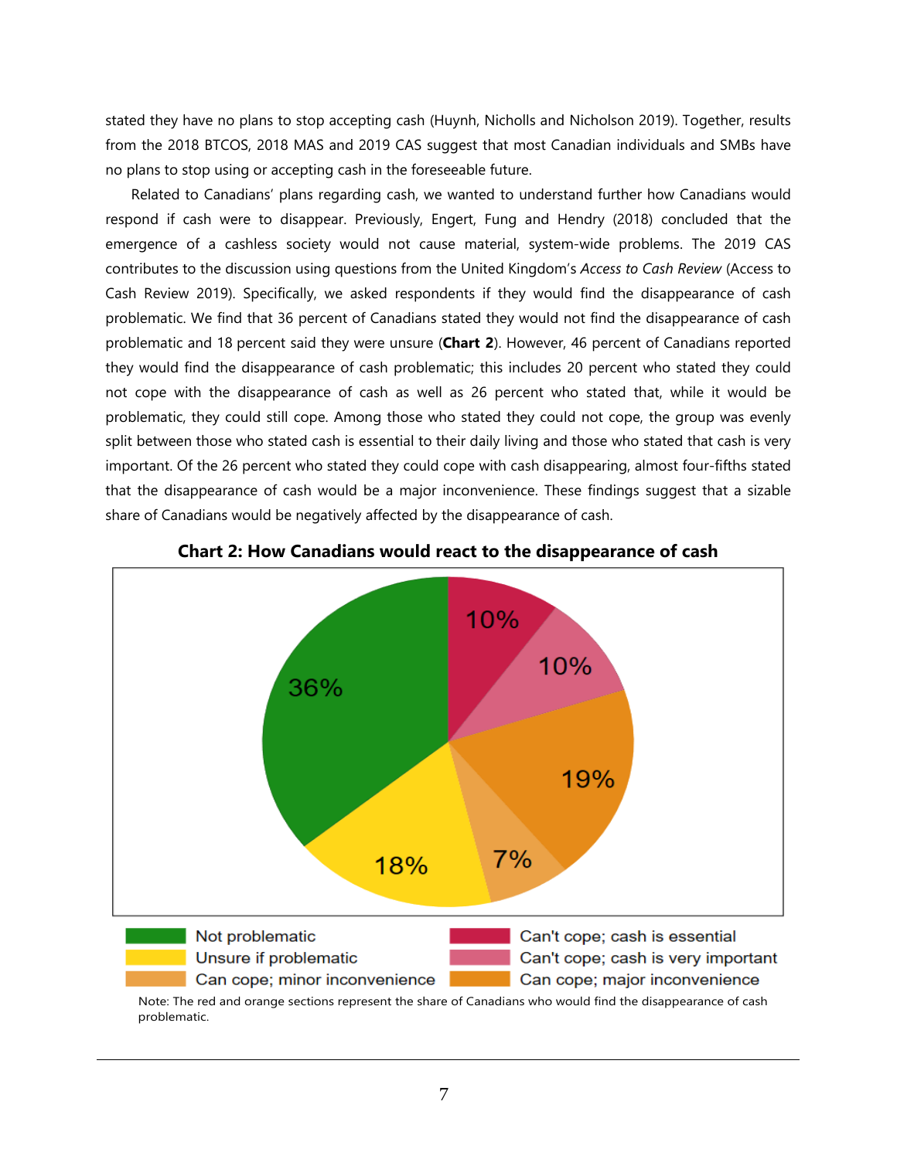stated they have no plans to stop accepting cash (Huynh, Nicholls and Nicholson 2019). Together, results from the 2018 BTCOS, 2018 MAS and 2019 CAS suggest that most Canadian individuals and SMBs have no plans to stop using or accepting cash in the foreseeable future.

Related to Canadians' plans regarding cash, we wanted to understand further how Canadians would respond if cash were to disappear. Previously, Engert, Fung and Hendry (2018) concluded that the emergence of a cashless society would not cause material, system-wide problems. The 2019 CAS contributes to the discussion using questions from the United Kingdom's *Access to Cash Review* (Access to Cash Review 2019). Specifically, we asked respondents if they would find the disappearance of cash problematic. We find that 36 percent of Canadians stated they would not find the disappearance of cash problematic and 18 percent said they were unsure (**Chart 2**). However, 46 percent of Canadians reported they would find the disappearance of cash problematic; this includes 20 percent who stated they could not cope with the disappearance of cash as well as 26 percent who stated that, while it would be problematic, they could still cope. Among those who stated they could not cope, the group was evenly split between those who stated cash is essential to their daily living and those who stated that cash is very important. Of the 26 percent who stated they could cope with cash disappearing, almost four-fifths stated that the disappearance of cash would be a major inconvenience. These findings suggest that a sizable share of Canadians would be negatively affected by the disappearance of cash.





Note: The red and orange sections represent the share of Canadians who would find the disappearance of cash problematic.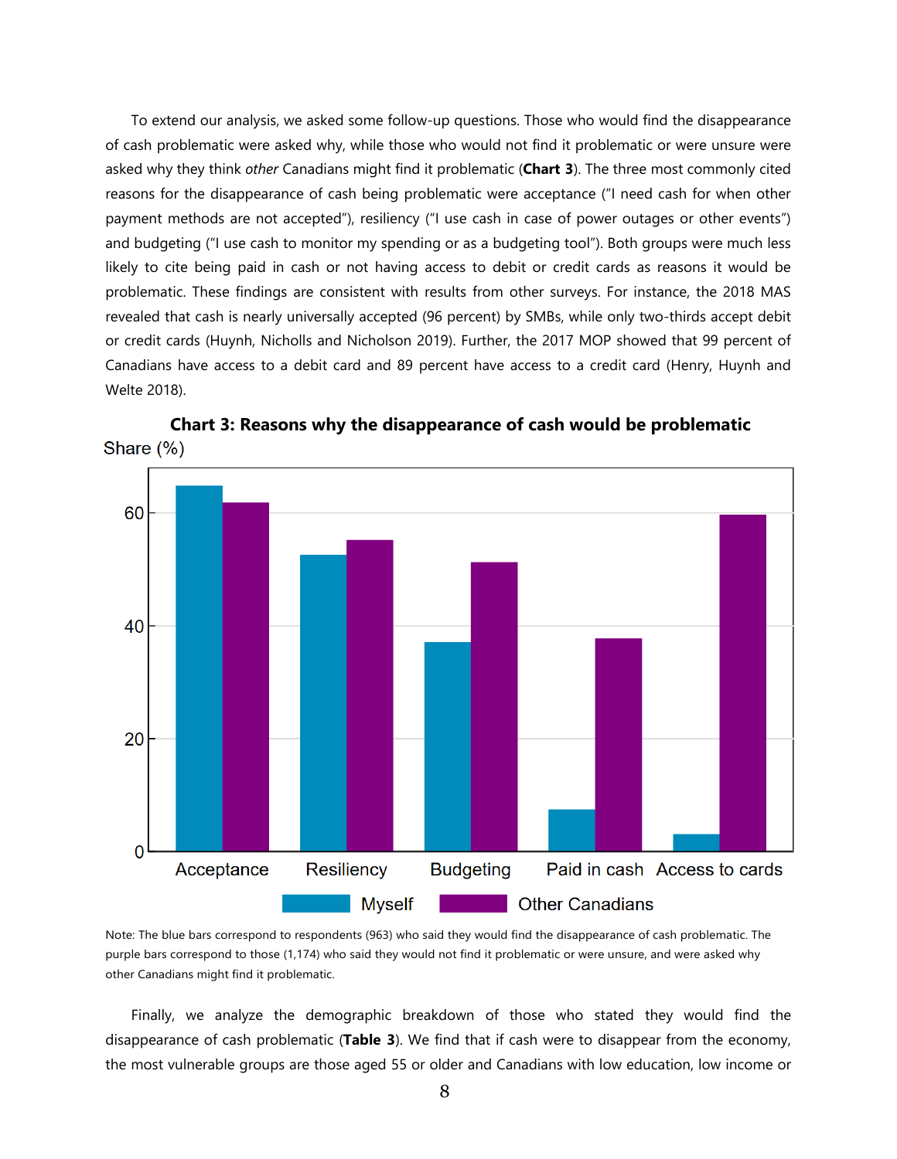To extend our analysis, we asked some follow-up questions. Those who would find the disappearance of cash problematic were asked why, while those who would not find it problematic or were unsure were asked why they think *other* Canadians might find it problematic (**Chart 3**). The three most commonly cited reasons for the disappearance of cash being problematic were acceptance ("I need cash for when other payment methods are not accepted"), resiliency ("I use cash in case of power outages or other events") and budgeting ("I use cash to monitor my spending or as a budgeting tool"). Both groups were much less likely to cite being paid in cash or not having access to debit or credit cards as reasons it would be problematic. These findings are consistent with results from other surveys. For instance, the 2018 MAS revealed that cash is nearly universally accepted (96 percent) by SMBs, while only two-thirds accept debit or credit cards (Huynh, Nicholls and Nicholson 2019). Further, the 2017 MOP showed that 99 percent of Canadians have access to a debit card and 89 percent have access to a credit card (Henry, Huynh and Welte 2018).



**Chart 3: Reasons why the disappearance of cash would be problematic** Share  $(\%)$ 

Note: The blue bars correspond to respondents (963) who said they would find the disappearance of cash problematic. The purple bars correspond to those (1,174) who said they would not find it problematic or were unsure, and were asked why other Canadians might find it problematic.

Finally, we analyze the demographic breakdown of those who stated they would find the disappearance of cash problematic (**Table 3**). We find that if cash were to disappear from the economy, the most vulnerable groups are those aged 55 or older and Canadians with low education, low income or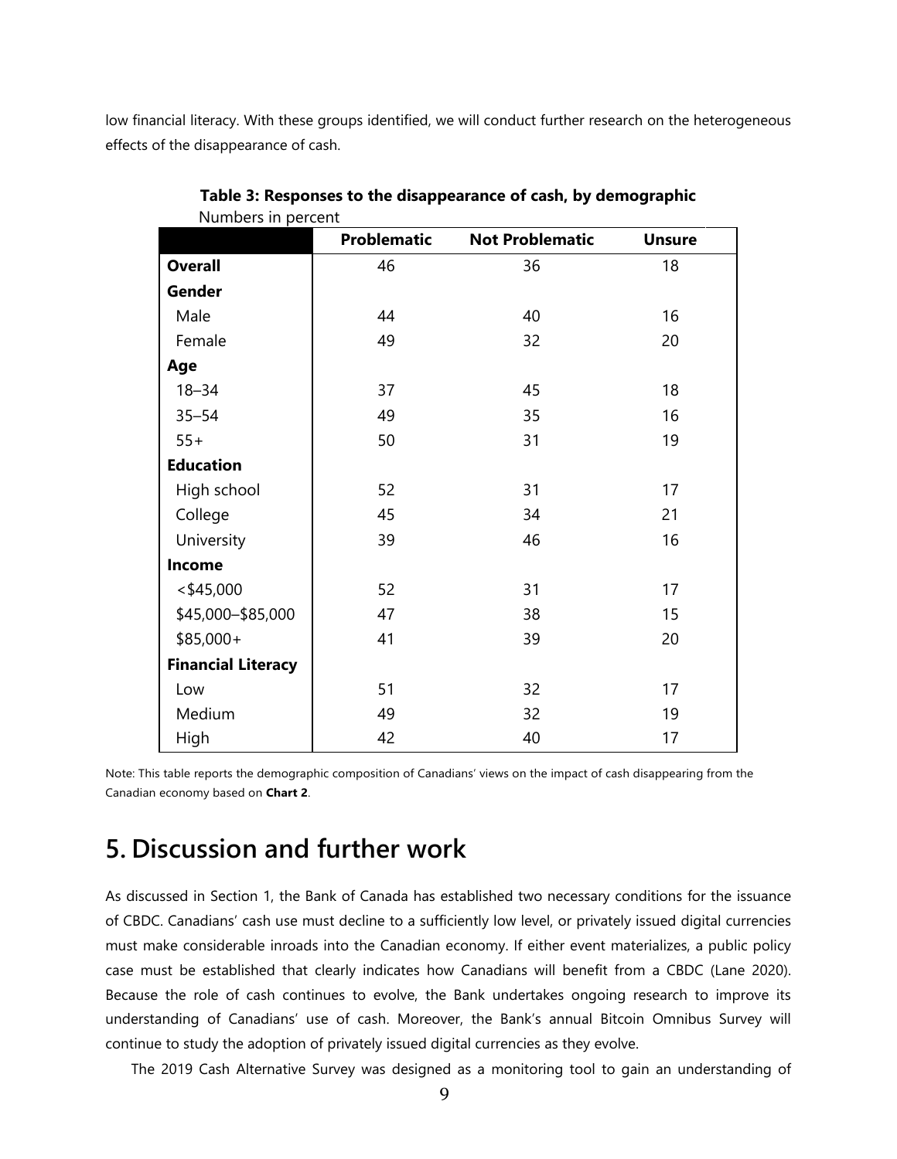low financial literacy. With these groups identified, we will conduct further research on the heterogeneous effects of the disappearance of cash.

| <b>INDITIONS</b> III PULCUIL | Problematic | <b>Not Problematic</b> | <b>Unsure</b> |
|------------------------------|-------------|------------------------|---------------|
| <b>Overall</b>               | 46          | 36                     | 18            |
| Gender                       |             |                        |               |
| Male                         | 44          | 40                     | 16            |
| Female                       | 49          | 32                     | 20            |
| Age                          |             |                        |               |
| $18 - 34$                    | 37          | 45                     | 18            |
| $35 - 54$                    | 49          | 35                     | 16            |
| $55+$                        | 50          | 31                     | 19            |
| <b>Education</b>             |             |                        |               |
| High school                  | 52          | 31                     | 17            |
| College                      | 45          | 34                     | 21            |
| University                   | 39          | 46                     | 16            |
| Income                       |             |                        |               |
| $<$ \$45,000                 | 52          | 31                     | 17            |
| \$45,000 - \$85,000          | 47          | 38                     | 15            |
| $$85,000+$                   | 41          | 39                     | 20            |
| <b>Financial Literacy</b>    |             |                        |               |
| Low                          | 51          | 32                     | 17            |
| Medium                       | 49          | 32                     | 19            |
| High                         | 42          | 40                     | 17            |

**Table 3: Responses to the disappearance of cash, by demographic** Numbers in percent

Note: This table reports the demographic composition of Canadians' views on the impact of cash disappearing from the Canadian economy based on **Chart 2**.

## **5. Discussion and further work**

As discussed in Section 1, the Bank of Canada has established two necessary conditions for the issuance of CBDC. Canadians' cash use must decline to a sufficiently low level, or privately issued digital currencies must make considerable inroads into the Canadian economy. If either event materializes, a public policy case must be established that clearly indicates how Canadians will benefit from a CBDC (Lane 2020). Because the role of cash continues to evolve, the Bank undertakes ongoing research to improve its understanding of Canadians' use of cash. Moreover, the Bank's annual Bitcoin Omnibus Survey will continue to study the adoption of privately issued digital currencies as they evolve.

The 2019 Cash Alternative Survey was designed as a monitoring tool to gain an understanding of